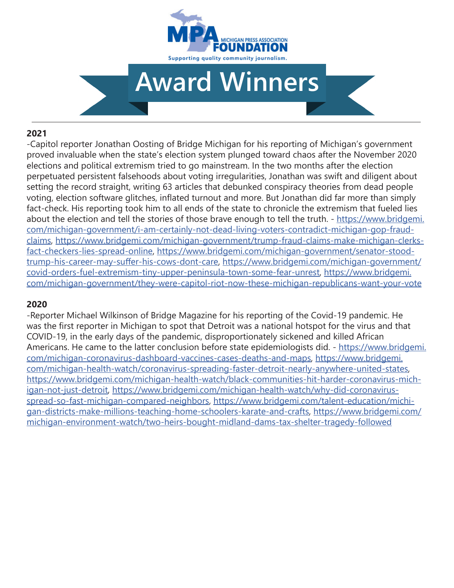

# **Award Winners**

#### **2021**

-Capitol reporter Jonathan Oosting of Bridge Michigan for his reporting of Michigan's government proved invaluable when the state's election system plunged toward chaos after the November 2020 elections and political extremism tried to go mainstream. In the two months after the election perpetuated persistent falsehoods about voting irregularities, Jonathan was swift and diligent about setting the record straight, writing 63 articles that debunked conspiracy theories from dead people voting, election software glitches, inflated turnout and more. But Jonathan did far more than simply fact-check. His reporting took him to all ends of the state to chronicle the extremism that fueled lies about the election and tell the stories of those brave enough to tell the truth. - https://www.bridgemi. com/michigan-government/i-am-certainly-not-dead-living-voters-contradict-michigan-gop-fraudclaims, https://www.bridgemi.com/michigan-government/trump-fraud-claims-make-michigan-clerksfact-checkers-lies-spread-online, https://www.bridgemi.com/michigan-government/senator-stoodtrump-his-career-may-suffer-his-cows-dont-care, https://www.bridgemi.com/michigan-government/ covid-orders-fuel-extremism-tiny-upper-peninsula-town-some-fear-unrest, https://www.bridgemi. com/michigan-government/they-were-capitol-riot-now-these-michigan-republicans-want-your-vote

#### **2020**

-Reporter Michael Wilkinson of Bridge Magazine for his reporting of the Covid-19 pandemic. He was the first reporter in Michigan to spot that Detroit was a national hotspot for the virus and that COVID-19, in the early days of the pandemic, disproportionately sickened and killed African Americans. He came to the latter conclusion before state epidemiologists did. - https://www.bridgemi. com/michigan-coronavirus-dashboard-vaccines-cases-deaths-and-maps, https://www.bridgemi. com/michigan-health-watch/coronavirus-spreading-faster-detroit-nearly-anywhere-united-states, https://www.bridgemi.com/michigan-health-watch/black-communities-hit-harder-coronavirus-michigan-not-just-detroit, https://www.bridgemi.com/michigan-health-watch/why-did-coronavirusspread-so-fast-michigan-compared-neighbors, https://www.bridgemi.com/talent-education/michigan-districts-make-millions-teaching-home-schoolers-karate-and-crafts, https://www.bridgemi.com/ michigan-environment-watch/two-heirs-bought-midland-dams-tax-shelter-tragedy-followed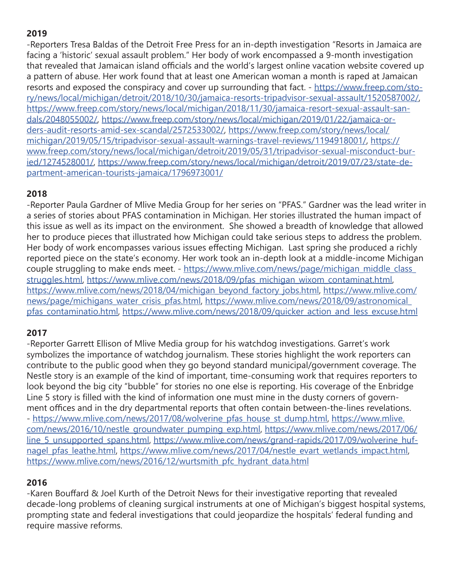### **2019**

-Reporters Tresa Baldas of the Detroit Free Press for an in-depth investigation "Resorts in Jamaica are facing a 'historic' sexual assault problem." Her body of work encompassed a 9-month investigation that revealed that Jamaican island officials and the world's largest online vacation website covered up a pattern of abuse. Her work found that at least one American woman a month is raped at Jamaican resorts and exposed the conspiracy and cover up surrounding that fact. - https://www.freep.com/story/news/local/michigan/detroit/2018/10/30/jamaica-resorts-tripadvisor-sexual-assault/1520587002/, https://www.freep.com/story/news/local/michigan/2018/11/30/jamaica-resort-sexual-assault-sandals/2048055002/, https://www.freep.com/story/news/local/michigan/2019/01/22/jamaica-orders-audit-resorts-amid-sex-scandal/2572533002/, https://www.freep.com/story/news/local/ michigan/2019/05/15/tripadvisor-sexual-assault-warnings-travel-reviews/1194918001/, https:// www.freep.com/story/news/local/michigan/detroit/2019/05/31/tripadvisor-sexual-misconduct-buried/1274528001/, https://www.freep.com/story/news/local/michigan/detroit/2019/07/23/state-department-american-tourists-jamaica/1796973001/

# **2018**

-Reporter Paula Gardner of Mlive Media Group for her series on "PFAS." Gardner was the lead writer in a series of stories about PFAS contamination in Michigan. Her stories illustrated the human impact of this issue as well as its impact on the environment. She showed a breadth of knowledge that allowed her to produce pieces that illustrated how Michigan could take serious steps to address the problem. Her body of work encompasses various issues effecting Michigan. Last spring she produced a richly reported piece on the state's economy. Her work took an in-depth look at a middle-income Michigan couple struggling to make ends meet. - https://www.mlive.com/news/page/michigan\_middle\_class\_ struggles.html, https://www.mlive.com/news/2018/09/pfas\_michigan\_wixom\_contaminat.html, https://www.mlive.com/news/2018/04/michigan\_beyond\_factory\_jobs.html, https://www.mlive.com/ news/page/michigans\_water\_crisis\_pfas.html, https://www.mlive.com/news/2018/09/astronomical pfas\_contaminatio.html, https://www.mlive.com/news/2018/09/quicker\_action\_and\_less\_excuse.html

#### **2017**

-Reporter Garrett Ellison of Mlive Media group for his watchdog investigations. Garret's work symbolizes the importance of watchdog journalism. These stories highlight the work reporters can contribute to the public good when they go beyond standard municipal/government coverage. The Nestle story is an example of the kind of important, time-consuming work that requires reporters to look beyond the big city "bubble" for stories no one else is reporting. His coverage of the Enbridge Line 5 story is filled with the kind of information one must mine in the dusty corners of government offices and in the dry departmental reports that often contain between-the-lines revelations. - https://www.mlive.com/news/2017/08/wolverine\_pfas\_house\_st\_dump.html, https://www.mlive. com/news/2016/10/nestle\_groundwater\_pumping\_exp.html, https://www.mlive.com/news/2017/06/ line\_5\_unsupported\_spans.html, https://www.mlive.com/news/grand-rapids/2017/09/wolverine\_hufnagel\_pfas\_leathe.html, https://www.mlive.com/news/2017/04/nestle\_evart\_wetlands\_impact.html, https://www.mlive.com/news/2016/12/wurtsmith\_pfc\_hydrant\_data.html

# **2016**

-Karen Bouffard & Joel Kurth of the Detroit News for their investigative reporting that revealed decade-long problems of cleaning surgical instruments at one of Michigan's biggest hospital systems, prompting state and federal investigations that could jeopardize the hospitals' federal funding and require massive reforms.